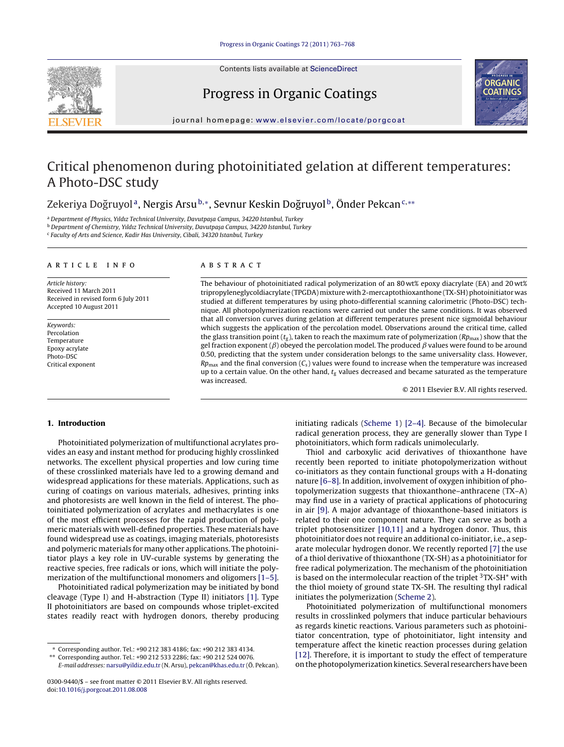

Progress in Organic Coatings



jour nal homepage: [www.elsevier.com/locate/porgcoat](http://www.elsevier.com/locate/porgcoat)

# Critical phenomenon during photoinitiated gelation at different temperatures: A Photo-DSC study

# Zekeriya Doğruyol<sup>a</sup>, Nergis Arsu<sup>b,</sup>∗, Sevnur Keskin Doğruyol<sup>b</sup>, Önder Pekcan<sup>c,</sup> \*\*

a Department of Physics, Yıldız Technical University, Davutpaşa Campus, 34220 Istanbul, Turkey

 $b$  Department of Chemistry, Yıldız Technical University, Davutpasa Campus, 34220 Istanbul, Turkey

<sup>c</sup> Faculty of Arts and Science, Kadir Has University, Cibali, 34320 Istanbul, Turkey

#### a r t i c l e i n f o

Article history: Received 11 March 2011 Received in revised form 6 July 2011 Accepted 10 August 2011

Keywords: Percolation Temperature Epoxy acrylate Photo-DSC Critical exponent

# A B S T R A C T

The behaviour of photoinitiated radical polymerization of an 80 wt% epoxy diacrylate (EA) and 20 wt% tripropyleneglycoldiacrylate (TPGDA) mixture with 2-mercaptothioxanthone (TX-SH) photoinitiator was studied at different temperatures by using photo-differential scanning calorimetric (Photo-DSC) technique. All photopolymerization reactions were carried out under the same conditions. It was observed that all conversion curves during gelation at different temperatures present nice sigmoidal behaviour which suggests the application of the percolation model. Observations around the critical time, called the glass transition point ( $t_g$ ), taken to reach the maximum rate of polymerization ( $Rp_{\text{max}}$ ) show that the gel fraction exponent ( $\beta$ ) obeyed the percolation model. The produced  $\beta$  values were found to be around 0.50, predicting that the system under consideration belongs to the same universality class. However,  $Rp_{\text{max}}$  and the final conversion ( $C_s$ ) values were found to increase when the temperature was increased up to a certain value. On the other hand,  $t_g$  values decreased and became saturated as the temperature was increased.

© 2011 Elsevier B.V. All rights reserved.

# **1. Introduction**

Photoinitiated polymerization of multifunctional acrylates provides an easy and instant method for producing highly crosslinked networks. The excellent physical properties and low curing time of these crosslinked materials have led to a growing demand and widespread applications for these materials. Applications, such as curing of coatings on various materials, adhesives, printing inks and photoresists are well known in the field of interest. The photoinitiated polymerization of acrylates and methacrylates is one of the most efficient processes for the rapid production of polymeric materials with well-defined properties. These materials have found widespread use as coatings, imaging materials, photoresists and polymeric materials for many other applications. The photoinitiator plays a key role in UV-curable systems by generating the reactive species, free radicals or ions, which will initiate the polymerization of the multifunctional monomers and oligomers [\[1–5\].](#page-5-0)

Photoinitiated radical polymerization may be initiated by bond cleavage (Type I) and H-abstraction (Type II) initiators [\[1\].](#page-5-0) Type II photoinitiators are based on compounds whose triplet-excited states readily react with hydrogen donors, thereby producing initiating radicals ([Scheme](#page-1-0) 1) [\[2–4\].](#page-5-0) Because of the bimolecular radical generation process, they are generally slower than Type I photoinitiators, which form radicals unimolecularly.

Thiol and carboxylic acid derivatives of thioxanthone have recently been reported to initiate photopolymerization without co-initiators as they contain functional groups with a H-donating nature [\[6–8\].](#page-5-0) In addition, involvement of oxygen inhibition of photopolymerization suggests that thioxanthone–anthracene (TX–A) may find use in a variety of practical applications of photocuring in air [\[9\].](#page-5-0) A major advantage of thioxanthone-based initiators is related to their one component nature. They can serve as both a triplet photosensitizer [\[10,11\]](#page-5-0) and a hydrogen donor. Thus, this photoinitiator does not require an additional co-initiator, i.e., a separate molecular hydrogen donor. We recently reported [\[7\]](#page-5-0) the use of a thiol derivative of thioxanthone (TX-SH) as a photoinitiator for free radical polymerization. The mechanism of the photoinitiation is based on the intermolecular reaction of the triplet  $3TX-SH^*$  with the thiol moiety of ground state TX-SH. The resulting thyl radical initiates the polymerization [\(Scheme](#page-1-0) 2).

Photoinitiated polymerization of multifunctional monomers results in crosslinked polymers that induce particular behaviours as regards kinetic reactions. Various parameters such as photoinitiator concentration, type of photoinitiator, light intensity and temperature affect the kinetic reaction processes during gelation [\[12\].](#page-5-0) Therefore, it is important to study the effect of temperature on the photopolymerization kinetics. Several researchers have been

<sup>∗</sup> Corresponding author. Tel.: +90 212 383 4186; fax: +90 212 383 4134.

<sup>∗∗</sup> Corresponding author. Tel.: +90 212 533 2286; fax: +90 212 524 0076.

E-mail addresses: [narsu@yildiz.edu.tr](mailto:narsu@yildiz.edu.tr) (N. Arsu), [pekcan@khas.edu.tr](mailto:pekcan@khas.edu.tr) (Ö. Pekcan).

<sup>0300-9440/\$</sup> – see front matter © 2011 Elsevier B.V. All rights reserved. doi:[10.1016/j.porgcoat.2011.08.008](dx.doi.org/10.1016/j.porgcoat.2011.08.008)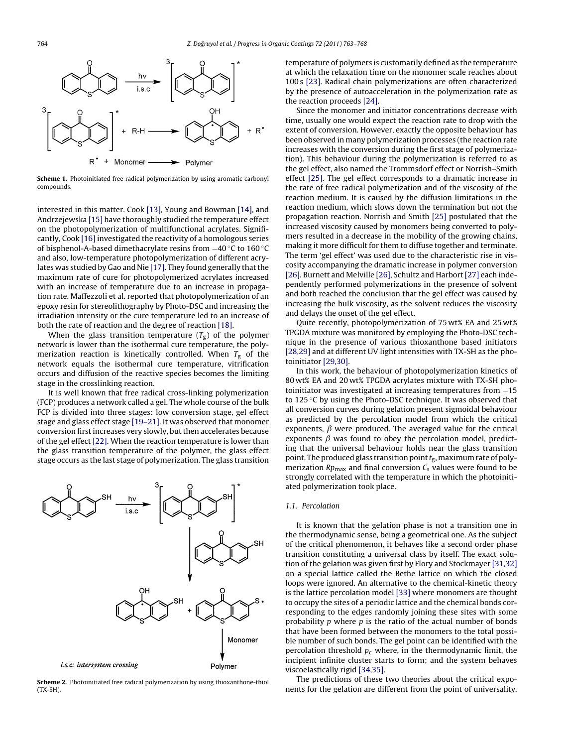<span id="page-1-0"></span>

**Scheme 1.** Photoinitiated free radical polymerization by using aromatic carbonyl compounds.

interested in this matter. Cook [\[13\],](#page-5-0) Young and Bowman [\[14\],](#page-5-0) and Andrzejewska [\[15\]](#page-5-0) have thoroughly studied the temperature effect on the photopolymerization of multifunctional acrylates. Significantly, Cook [\[16\]](#page-5-0) investigated the reactivity of a homologous series of bisphenol-A-based dimethacrylate resins from −40 ◦C to 160 ◦C and also, low-temperature photopolymerization of different acry-lates was studied by Gao and Nie [\[17\].](#page-5-0) They found generally that the maximum rate of cure for photopolymerized acrylates increased with an increase of temperature due to an increase in propagation rate. Maffezzoli et al. reported that photopolymerization of an epoxy resin for stereolithography by Photo-DSC and increasing the irradiation intensity or the cure temperature led to an increase of both the rate of reaction and the degree of reaction [\[18\].](#page-5-0)

When the glass transition temperature  $(T_g)$  of the polymer network is lower than the isothermal cure temperature, the polymerization reaction is kinetically controlled. When  $T_g$  of the network equals the isothermal cure temperature, vitrification occurs and diffusion of the reactive species becomes the limiting stage in the crosslinking reaction.

It is well known that free radical cross-linking polymerization (FCP) produces a network called a gel. The whole course of the bulk FCP is divided into three stages: low conversion stage, gel effect stage and glass effect stage [\[19–21\].](#page-5-0) It was observed that monomer conversion first increases very slowly, but then accelerates because of the gel effect [\[22\].](#page-5-0) When the reaction temperature is lower than the glass transition temperature of the polymer, the glass effect stage occurs as the last stage of polymerization. The glass transition



**Scheme 2.** Photoinitiated free radical polymerization by using thioxanthone-thiol (TX-SH).

temperature of polymers is customarily defined as the temperature at which the relaxation time on the monomer scale reaches about 100 s [\[23\].](#page-5-0) Radical chain polymerizations are often characterized by the presence of autoacceleration in the polymerization rate as the reaction proceeds [\[24\].](#page-5-0)

Since the monomer and initiator concentrations decrease with time, usually one would expect the reaction rate to drop with the extent of conversion. However, exactly the opposite behaviour has been observed in many polymerization processes (the reaction rate increases with the conversion during the first stage of polymerization). This behaviour during the polymerization is referred to as the gel effect, also named the Trommsdorf effect or Norrish–Smith effect [\[25\].](#page-5-0) The gel effect corresponds to a dramatic increase in the rate of free radical polymerization and of the viscosity of the reaction medium. It is caused by the diffusion limitations in the reaction medium, which slows down the termination but not the propagation reaction. Norrish and Smith [\[25\]](#page-5-0) postulated that the increased viscosity caused by monomers being converted to polymers resulted in a decrease in the mobility of the growing chains, making it more difficult for them to diffuse together and terminate. The term 'gel effect' was used due to the characteristic rise in viscosity accompanying the dramatic increase in polymer conversion [\[26\].](#page-5-0) Burnett and Melville [\[26\],](#page-5-0) Schultz and Harbort [\[27\]](#page-5-0) each independently performed polymerizations in the presence of solvent and both reached the conclusion that the gel effect was caused by increasing the bulk viscosity, as the solvent reduces the viscosity and delays the onset of the gel effect.

Quite recently, photopolymerization of 75 wt% EA and 25 wt% TPGDA mixture was monitored by employing the Photo-DSC technique in the presence of various thioxanthone based initiators [\[28,29\]](#page-5-0) and at different UV light intensities with TX-SH as the photoinitiator [\[29,30\].](#page-5-0)

In this work, the behaviour of photopolymerization kinetics of 80 wt% EA and 20 wt% TPGDA acrylates mixture with TX-SH photoinitiator was investigated at increasing temperatures from −15 to 125 °C by using the Photo-DSC technique. It was observed that all conversion curves during gelation present sigmoidal behaviour as predicted by the percolation model from which the critical exponents,  $\beta$  were produced. The averaged value for the critical exponents  $\beta$  was found to obey the percolation model, predicting that the universal behaviour holds near the glass transition point. The produced glass transition point  $t_{\rm g}$ , maximum rate of polymerization  $Rp_{\text{max}}$  and final conversion  $C_s$  values were found to be strongly correlated with the temperature in which the photoinitiated polymerization took place.

#### 1.1. Percolation

It is known that the gelation phase is not a transition one in the thermodynamic sense, being a geometrical one. As the subject of the critical phenomenon, it behaves like a second order phase transition constituting a universal class by itself. The exact solution of the gelation was given first by Flory and Stockmayer [\[31,32\]](#page-5-0) on a special lattice called the Bethe lattice on which the closed loops were ignored. An alternative to the chemical-kinetic theory is the lattice percolation model [\[33\]](#page-5-0) where monomers are thought to occupy the sites of a periodic lattice and the chemical bonds corresponding to the edges randomly joining these sites with some probability  $p$  where  $p$  is the ratio of the actual number of bonds that have been formed between the monomers to the total possible number of such bonds. The gel point can be identified with the percolation threshold  $p_c$  where, in the thermodynamic limit, the incipient infinite cluster starts to form; and the system behaves viscoelastically rigid [\[34,35\].](#page-5-0)

The predictions of these two theories about the critical exponents for the gelation are different from the point of universality.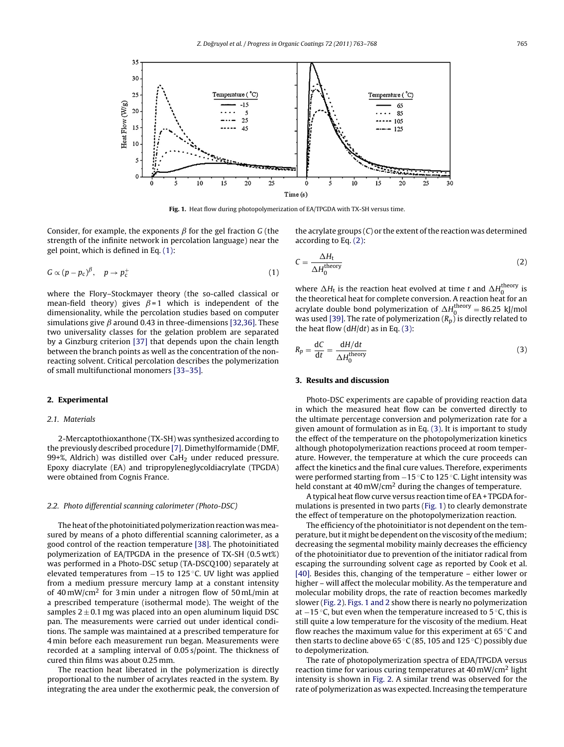

**Fig. 1.** Heat flow during photopolymerization of EA/TPGDA with TX-SH versus time.

Consider, for example, the exponents  $\beta$  for the gel fraction G (the strength of the infinite network in percolation language) near the gel point, which is defined in Eq. (1):

$$
G \propto (p - p_{\rm c})^{\beta}, \quad p \to p_{\rm c}^+ \tag{1}
$$

where the Flory–Stockmayer theory (the so-called classical or mean-field theory) gives  $\beta = 1$  which is independent of the dimensionality, while the percolation studies based on computer simulations give  $\beta$  around 0.43 in three-dimensions [\[32,36\].](#page-5-0) These two universality classes for the gelation problem are separated by a Ginzburg criterion [\[37\]](#page-5-0) that depends upon the chain length between the branch points as well as the concentration of the nonreacting solvent. Critical percolation describes the polymerization of small multifunctional monomers [\[33–35\].](#page-5-0)

## **2. Experimental**

#### 2.1. Materials

2-Mercaptothioxanthone (TX-SH) was synthesized according to the previously described procedure [\[7\].](#page-5-0) Dimethylformamide (DMF, 99+%, Aldrich) was distilled over CaH<sub>2</sub> under reduced pressure. Epoxy diacrylate (EA) and tripropyleneglycoldiacrylate (TPGDA) were obtained from Cognis France.

# 2.2. Photo differential scanning calorimeter (Photo-DSC)

The heat of the photoinitiated polymerization reaction was measured by means of a photo differential scanning calorimeter, as a good control of the reaction temperature [\[38\].](#page-5-0) The photoinitiated polymerization of EA/TPGDA in the presence of TX-SH (0.5 wt%) was performed in a Photo-DSC setup (TA-DSCQ100) separately at elevated temperatures from −15 to 125 ◦C. UV light was applied from a medium pressure mercury lamp at a constant intensity of 40 mW/cm<sup>2</sup> for 3 min under a nitrogen flow of 50 mL/min at a prescribed temperature (isothermal mode). The weight of the samples  $2 \pm 0.1$  mg was placed into an open aluminum liquid DSC pan. The measurements were carried out under identical conditions. The sample was maintained at a prescribed temperature for 4 min before each measurement run began. Measurements were recorded at a sampling interval of 0.05 s/point. The thickness of cured thin films was about 0.25 mm.

The reaction heat liberated in the polymerization is directly proportional to the number of acrylates reacted in the system. By integrating the area under the exothermic peak, the conversion of the acrylate groups  $(C)$  or the extent of the reaction was determined according to Eq. (2):

$$
C = \frac{\Delta H_{\rm t}}{\Delta H_0^{\rm theory}}\tag{2}
$$

where  $\Delta H_t$  is the reaction heat evolved at time t and  $\Delta H_0^{\text{theory}}$  is the theoretical heat for complete conversion. A reaction heat for an acrylate double bond polymerization of  $\Delta H_0^{\text{theory}} = 86.25 \text{ kJ/mol}$ was used [\[39\].](#page-5-0) The rate of polymerization ( $R_p$ ) is directly related to the heat flow  $(dH/dt)$  as in Eq. (3):

$$
R_p = \frac{dC}{dt} = \frac{dH/dt}{\Delta H_0^{\text{theory}}} \tag{3}
$$

# **3. Results and discussion**

Photo-DSC experiments are capable of providing reaction data in which the measured heat flow can be converted directly to the ultimate percentage conversion and polymerization rate for a given amount of formulation as in Eq. (3). It is important to study the effect of the temperature on the photopolymerization kinetics although photopolymerization reactions proceed at room temperature. However, the temperature at which the cure proceeds can affect the kinetics and the final cure values. Therefore, experiments were performed starting from −15 °C to 125 °C. Light intensity was held constant at  $40 \text{ mW/cm}^2$  during the changes of temperature.

A typical heat flow curve versus reaction time of EA+ TPGDA formulations is presented in two parts (Fig. 1) to clearly demonstrate the effect of temperature on the photopolymerization reaction.

The efficiency of the photoinitiator is not dependent on the temperature, but it might be dependent on the viscosity of the medium; decreasing the segmental mobility mainly decreases the efficiency of the photoinitiator due to prevention of the initiator radical from escaping the surrounding solvent cage as reported by Cook et al. [\[40\].](#page-5-0) Besides this, changing of the temperature – either lower or higher – will affect the molecular mobility. As the temperature and molecular mobility drops, the rate of reaction becomes markedly slower ([Fig.](#page-3-0) [2\).](#page-3-0) Figs. 1 and 2 show there is nearly no polymerization at  $-15$  °C, but even when the temperature increased to 5 °C, this is still quite a low temperature for the viscosity of the medium. Heat flow reaches the maximum value for this experiment at 65 ◦C and then starts to decline above 65 ◦C (85, 105 and 125 ◦C) possibly due to depolymerization.

The rate of photopolymerization spectra of EDA/TPGDA versus reaction time for various curing temperatures at  $40 \text{ mW/cm}^2$  light intensity is shown in [Fig.](#page-3-0) 2. A similar trend was observed for the rate of polymerization as was expected. Increasing the temperature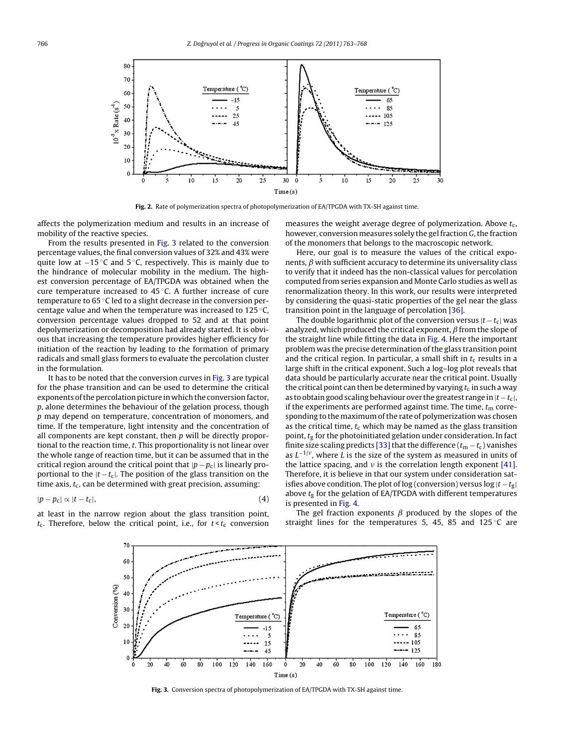<span id="page-3-0"></span>

**Fig. 2.** Rate of polymerization spectra of photopolymerization of EA/TPGDA with TX-SH against time.

affects the polymerization medium and results in an increase of mobility of the reactive species.

From the results presented in Fig. 3 related to the conversion percentage values, the final conversion values of 32% and 43% were quite low at −15 ◦C and 5 ◦C, respectively. This is mainly due to the hindrance of molecular mobility in the medium. The highest conversion percentage of EA/TPGDA was obtained when the cure temperature increased to 45 ◦C. A further increase of cure temperature to 65 ℃ led to a slight decrease in the conversion percentage value and when the temperature was increased to 125 ◦C, conversion percentage values dropped to 52 and at that point depolymerization or decomposition had already started. It is obvious that increasing the temperature provides higher efficiency for initiation of the reaction by leading to the formation of primary radicals and small glass formers to evaluate the percolation cluster in the formulation.

It has to be noted that the conversion curves in Fig. 3 are typical for the phase transition and can be used to determine the critical exponents of the percolation picture in which the conversion factor, p, alone determines the behaviour of the gelation process, though p may depend on temperature, concentration of monomers, and time. If the temperature, light intensity and the concentration of all components are kept constant, then  $p$  will be directly proportional to the reaction time, t. This proportionality is not linear over the whole range of reaction time, but it can be assumed that in the critical region around the critical point that  $|p - p_c|$  is linearly proportional to the  $|t - t_c|$ . The position of the glass transition on the time axis,  $t_c$ , can be determined with great precision, assuming:

$$
|p - p_{\rm c}| \propto |t - t_{\rm c}|,\tag{4}
$$

at least in the narrow region about the glass transition point,  $t_c$ . Therefore, below the critical point, i.e., for  $t \leq t_c$  conversion

measures the weight average degree of polymerization. Above  $t_c$ , however, conversion measures solely the gel fraction G, the fraction of the monomers that belongs to the macroscopic network.

Here, our goal is to measure the values of the critical exponents,  $\beta$  with sufficient accuracy to determine its universality class to verify that it indeed has the non-classical values for percolation computed from series expansion and Monte Carlo studies as well as renormalization theory. In this work, our results were interpreted by considering the quasi-static properties of the gel near the glass transition point in the language of percolation [\[36\].](#page-5-0)

The double logarithmic plot of the conversion versus  $|t - t_c|$  was analyzed, which produced the critical exponent,  $\beta$  from the slope of the straight line while fitting the data in [Fig.](#page-4-0) [4.](#page-4-0) Here the important problem was the precise determination ofthe glass transition point and the critical region. In particular, a small shift in  $t_c$  results in a large shift in the critical exponent. Such a log–log plot reveals that data should be particularly accurate near the critical point. Usually the critical point can then be determined by varying  $t_c$  in such a way as to obtain good scaling behaviour over the greatest range in  $|t - t_c|$ , if the experiments are performed against time. The time,  $t<sub>m</sub>$  corresponding to the maximum of the rate of polymerization was chosen as the critical time,  $t_c$  which may be named as the glass transition point,  $t<sub>g</sub>$  for the photoinitiated gelation under consideration. In fact finite size scaling predicts [33] that the difference ( $t_m - t_c$ ) vanishes as  $L^{-1/\nu}$ , where L is the size of the system as measured in units of the lattice spacing, and  $\nu$  is the correlation length exponent [\[41\].](#page-5-0) Therefore, it is believe in that our system under consideration satisfies above condition. The plot of log (conversion) versus log  $|t - t_g|$ above  $t_g$  for the gelation of EA/TPGDA with different temperatures is presented in [Fig.](#page-4-0) [4.](#page-4-0)

The gel fraction exponents  $\beta$  produced by the slopes of the straight lines for the temperatures 5, 45, 85 and  $125^{\circ}$ C are



**Fig. 3.** Conversion spectra of photopolymerization of EA/TPGDA with TX-SH against time.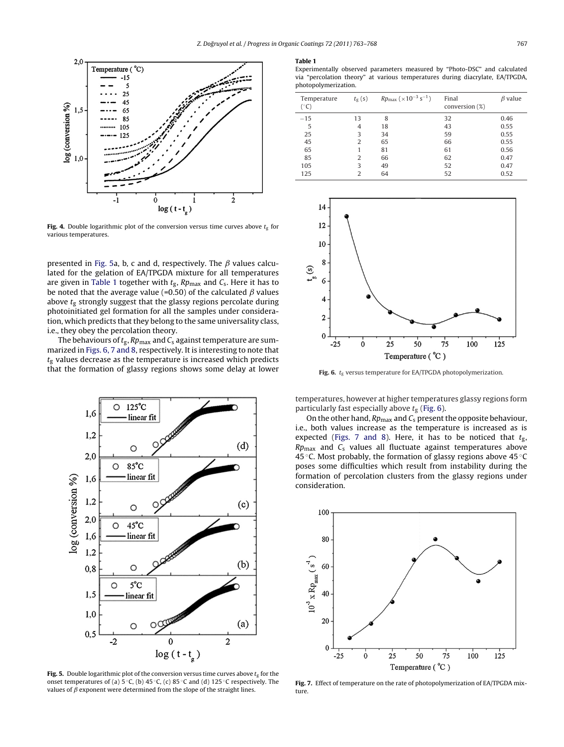<span id="page-4-0"></span>

**Fig. 4.** Double logarithmic plot of the conversion versus time curves above  $t_g$  for various temperatures.

presented in Fig. 5a, b, c and d, respectively. The  $\beta$  values calculated for the gelation of EA/TPGDA mixture for all temperatures are given in Table 1 together with  $t_{\rm g}$ , Rp<sub>max</sub> and  $C_{\rm s}$ . Here it has to be noted that the average value (=0.50) of the calculated  $\beta$  values above  $t_{\rm g}$  strongly suggest that the glassy regions percolate during photoinitiated gel formation for all the samples under consideration, which predicts that they belong to the same universality class, i.e., they obey the percolation theory.

The behaviours of  $t_{\rm g}$ , Rp<sub>max</sub> and C<sub>s</sub> against temperature are summarized in Figs. 6, 7 and 8, respectively. It is interesting to note that  $t_{\rm g}$  values decrease as the temperature is increased which predicts that the formation of glassy regions shows some delay at lower



**Fig. 5.** Double logarithmic plot of the conversion versus time curves above  $t_{\alpha}$  for the onset temperatures of (a) 5 ◦C, (b) 45 ◦C, (c) 85 ◦C and (d) 125 ◦C respectively. The values of  $\beta$  exponent were determined from the slope of the straight lines.

#### **Table 1**

Experimentally observed parameters measured by "Photo-DSC" and calculated via "percolation theory" at various temperatures during diacrylate, EA/TPGDA, photopolymerization.

| Temperature<br>$(^\circ C)$ | $t_{\rm g}$ (s) | $Rp_{\text{max}}$ ( $\times 10^{-3}$ s <sup>-1</sup> ) | Final<br>conversion $(\%)$ | $\beta$ value |
|-----------------------------|-----------------|--------------------------------------------------------|----------------------------|---------------|
| $-15$                       | 13              | 8                                                      | 32                         | 0.46          |
| 5                           | 4               | 18                                                     | 43                         | 0.55          |
| 25                          | 3               | 34                                                     | 59                         | 0.55          |
| 45                          | 2               | 65                                                     | 66                         | 0.55          |
| 65                          | 1               | 81                                                     | 61                         | 0.56          |
| 85                          | 2               | 66                                                     | 62                         | 0.47          |
| 105                         | 3               | 49                                                     | 52                         | 0.47          |
| 125                         | 2               | 64                                                     | 52                         | 0.52          |



**Fig. 6.**  $t_g$  versus temperature for EA/TPGDA photopolymerization.

temperatures, however at higher temperatures glassy regions form particularly fast especially above  $t_g$  (Fig. 6).

On the other hand,  $Rp_{\text{max}}$  and  $C_s$  present the opposite behaviour, i.e., both values increase as the temperature is increased as is expected (Figs. 7 and 8). Here, it has to be noticed that  $t_{\rm g}$ ,  $Rp_{\text{max}}$  and  $C_s$  values all fluctuate against temperatures above 45 ◦C. Most probably, the formation of glassy regions above 45 ◦C poses some difficulties which result from instability during the formation of percolation clusters from the glassy regions under consideration.



**Fig. 7.** Effect of temperature on the rate of photopolymerization of EA/TPGDA mixture.